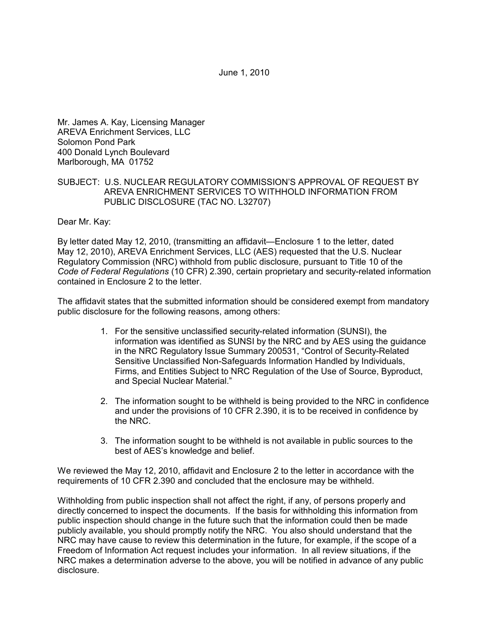June 1, 2010

Mr. James A. Kay, Licensing Manager AREVA Enrichment Services, LLC Solomon Pond Park 400 Donald Lynch Boulevard Marlborough, MA 01752

## SUBJECT: U.S. NUCLEAR REGULATORY COMMISSION'S APPROVAL OF REQUEST BY AREVA ENRICHMENT SERVICES TO WITHHOLD INFORMATION FROM PUBLIC DISCLOSURE (TAC NO. L32707)

## Dear Mr. Kay:

By letter dated May 12, 2010, (transmitting an affidavit—Enclosure 1 to the letter, dated May 12, 2010), AREVA Enrichment Services, LLC (AES) requested that the U.S. Nuclear Regulatory Commission (NRC) withhold from public disclosure, pursuant to Title 10 of the *Code of Federal Regulations* (10 CFR) 2.390, certain proprietary and security-related information contained in Enclosure 2 to the letter.

The affidavit states that the submitted information should be considered exempt from mandatory public disclosure for the following reasons, among others:

- 1. For the sensitive unclassified security-related information (SUNSI), the information was identified as SUNSI by the NRC and by AES using the guidance in the NRC Regulatory Issue Summary 200531, "Control of Security-Related Sensitive Unclassified Non-Safeguards Information Handled by Individuals, Firms, and Entities Subject to NRC Regulation of the Use of Source, Byproduct, and Special Nuclear Material."
- 2. The information sought to be withheld is being provided to the NRC in confidence and under the provisions of 10 CFR 2.390, it is to be received in confidence by the NRC.
- 3. The information sought to be withheld is not available in public sources to the best of AES's knowledge and belief.

We reviewed the May 12, 2010, affidavit and Enclosure 2 to the letter in accordance with the requirements of 10 CFR 2.390 and concluded that the enclosure may be withheld.

Withholding from public inspection shall not affect the right, if any, of persons properly and directly concerned to inspect the documents. If the basis for withholding this information from public inspection should change in the future such that the information could then be made publicly available, you should promptly notify the NRC. You also should understand that the NRC may have cause to review this determination in the future, for example, if the scope of a Freedom of Information Act request includes your information. In all review situations, if the NRC makes a determination adverse to the above, you will be notified in advance of any public disclosure.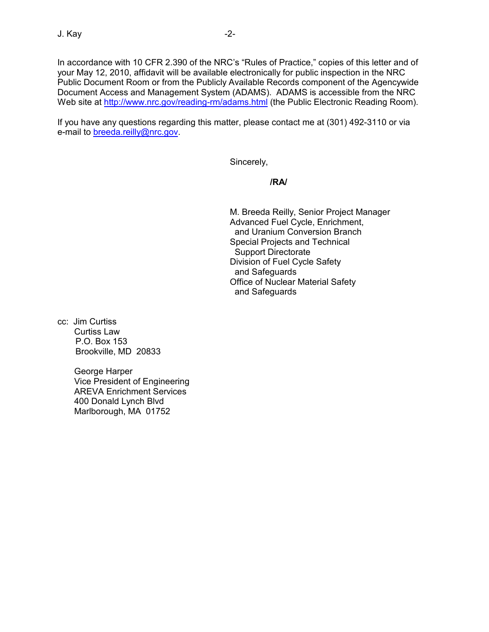In accordance with 10 CFR 2.390 of the NRC's "Rules of Practice," copies of this letter and of your May 12, 2010, affidavit will be available electronically for public inspection in the NRC Public Document Room or from the Publicly Available Records component of the Agencywide Document Access and Management System (ADAMS). ADAMS is accessible from the NRC Web site at http://www.nrc.gov/reading-rm/adams.html (the Public Electronic Reading Room).

If you have any questions regarding this matter, please contact me at (301) 492-3110 or via e-mail to breeda.reilly@nrc.gov.

Sincerely,

# **/RA/**

M. Breeda Reilly, Senior Project Manager Advanced Fuel Cycle, Enrichment, and Uranium Conversion Branch Special Projects and Technical Support Directorate Division of Fuel Cycle Safety and Safeguards Office of Nuclear Material Safety and Safeguards

cc: Jim Curtiss Curtiss Law P.O. Box 153 Brookville, MD 20833

> George Harper Vice President of Engineering AREVA Enrichment Services 400 Donald Lynch Blvd Marlborough, MA 01752